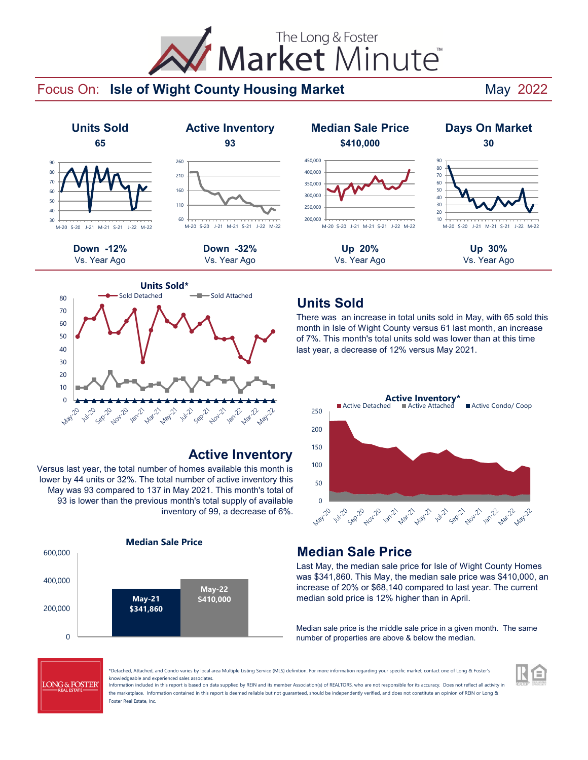# The Long & Foster Market Minute<sup>®</sup>

#### Focus On: Isle of Wight County Housing Market **National May 2022**





#### **Active Inventory**

Versus last year, the total number of homes available this month is lower by 44 units or 32%. The total number of active inventory this May was 93 compared to 137 in May 2021. This month's total of 93 is lower than the previous month's total supply of available inventory of 99, a decrease of 6%.



#### **Units Sold**

There was an increase in total units sold in May, with 65 sold this month in Isle of Wight County versus 61 last month, an increase of 7%. This month's total units sold was lower than at this time last year, a decrease of 12% versus May 2021.



#### **Median Sale Price**

Last May, the median sale price for Isle of Wight County Homes was \$341,860. This May, the median sale price was \$410,000, an increase of 20% or \$68,140 compared to last year. The current median sold price is 12% higher than in April.

Median sale price is the middle sale price in a given month. The same number of properties are above & below the median.



\*Detached, Attached, and Condo varies by local area Multiple Listing Service (MLS) definition. For more information regarding your specific market, contact one of Long & Foster's knowledgeable and experienced sales associates.

Information included in this report is based on data supplied by REIN and its member Association(s) of REALTORS, who are not responsible for its accuracy. Does not reflect all activity in the marketplace. Information contained in this report is deemed reliable but not guaranteed, should be independently verified, and does not constitute an opinion of REIN or Long & Foster Real Estate, Inc.